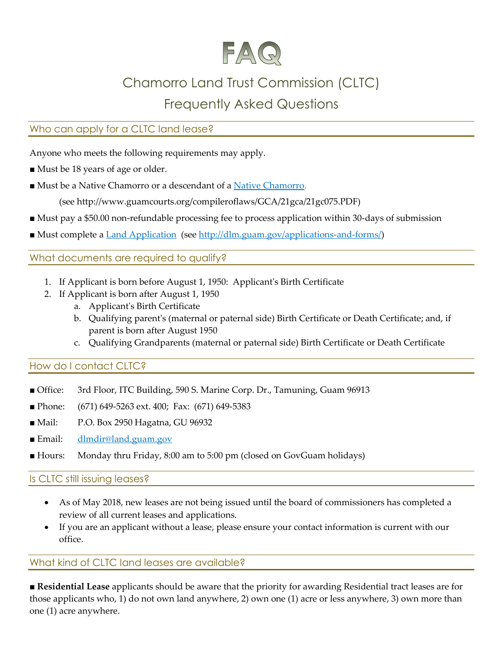

# Chamorro Land Trust Commission (CLTC)

## Frequently Asked Questions

### Who can apply for a CLTC land lease?

Anyone who meets the following requirements may apply.

- Must be 18 years of age or older.
- Must be a Native Chamorro or a descendant of a [Native Chamorro.](http://www.guamcourts.org/compileroflaws/GCA/21gca/21gc075.PDF)

(see http://www.guamcourts.org/compileroflaws/GCA/21gca/21gc075.PDF)

- Must pay a \$50.00 non-refundable processing fee to process application within 30-days of submission
- Must complete a [Land Application](http://dlm.guam.gov/wp-dlm-content/uploads/2017/01/2015Feb26_CLTC_Land-Application-1.pdf) (see [http://dlm.guam.gov/applications-and-forms/\)](http://dlm.guam.gov/applications-and-forms/)

#### What documents are required to qualify?

- 1. If Applicant is born before August 1, 1950: Applicant's Birth Certificate
- 2. If Applicant is born after August 1, 1950
	- a. Applicant's Birth Certificate
	- b. Qualifying parent's (maternal or paternal side) Birth Certificate or Death Certificate; and, if parent is born after August 1950
	- c. Qualifying Grandparents (maternal or paternal side) Birth Certificate or Death Certificate

#### <span id="page-0-0"></span>How do I contact CLTC?

- Office: 3rd Floor, ITC Building, 590 S. Marine Corp. Dr., Tamuning, Guam 96913
- Phone: (671) 649-5263 ext. 400; Fax: (671) 649-5383
- Mail: P.O. Box 2950 Hagatna, GU 96932
- Email: [dlmdir@land.guam.gov](mailto:dlmdir@land.guam.gov)
- Hours: Monday thru Friday, 8:00 am to 5:00 pm (closed on GovGuam holidays)

#### Is CLTC still issuing leases?

- As of May 2018, new leases are not being issued until the board of commissioners has completed a review of all current leases and applications.
- If you are an applicant without a lease, please ensure your contact information is current with our office.

#### What kind of CLTC land leases are available?

■ **Residential Lease** applicants should be aware that the priority for awarding Residential tract leases are for those applicants who, 1) do not own land anywhere, 2) own one (1) acre or less anywhere, 3) own more than one (1) acre anywhere.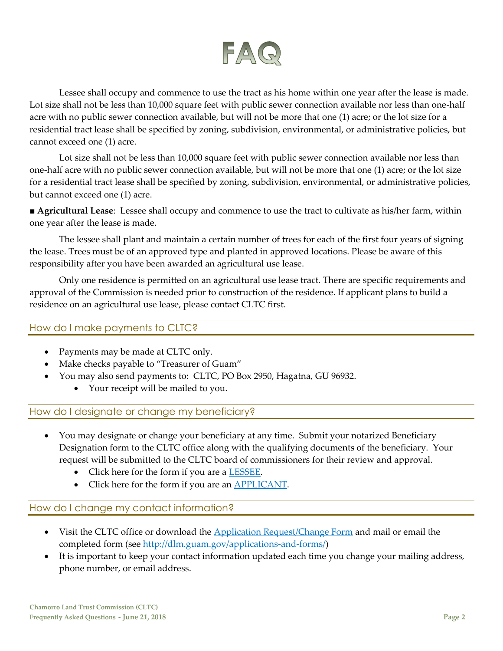

Lessee shall occupy and commence to use the tract as his home within one year after the lease is made. Lot size shall not be less than 10,000 square feet with public sewer connection available nor less than one-half acre with no public sewer connection available, but will not be more that one (1) acre; or the lot size for a residential tract lease shall be specified by zoning, subdivision, environmental, or administrative policies, but cannot exceed one (1) acre.

Lot size shall not be less than 10,000 square feet with public sewer connection available nor less than one-half acre with no public sewer connection available, but will not be more that one (1) acre; or the lot size for a residential tract lease shall be specified by zoning, subdivision, environmental, or administrative policies, but cannot exceed one (1) acre.

■ **Agricultural Lease**: Lessee shall occupy and commence to use the tract to cultivate as his/her farm, within one year after the lease is made.

The lessee shall plant and maintain a certain number of trees for each of the first four years of signing the lease. Trees must be of an approved type and planted in approved locations. Please be aware of this responsibility after you have been awarded an agricultural use lease.

Only one residence is permitted on an agricultural use lease tract. There are specific requirements and approval of the Commission is needed prior to construction of the residence. If applicant plans to build a residence on an agricultural use lease, please contact CLTC first.

#### How do I make payments to CLTC?

- Payments may be made at CLTC only.
- Make checks payable to "Treasurer of Guam"
- You may also send payments to: CLTC, PO Box 2950, Hagatna, GU 96932.
	- Your receipt will be mailed to you.

#### How do I designate or change my beneficiary?

- You may designate or change your beneficiary at any time. Submit your notarized Beneficiary Designation form to the CLTC office along with the qualifying documents of the beneficiary. Your request will be submitted to the CLTC board of commissioners for their review and approval.
	- Click here for the form if you are a **LESSEE**.
	- Click here for the form if you are an **APPLICANT**.

#### How do I change my contact information?

- Visit the CLTC office or download the [Application Request/Change Form](http://dlm.guam.gov/wp-dlm-content/uploads/2018/01/2018Jan16_Client_Change_Form_1_v2.pdf) and mail or email the completed form (see [http://dlm.guam.gov/applications-and-forms/\)](http://dlm.guam.gov/applications-and-forms/)
- It is important to keep your contact information updated each time you change your mailing address, phone number, or email address.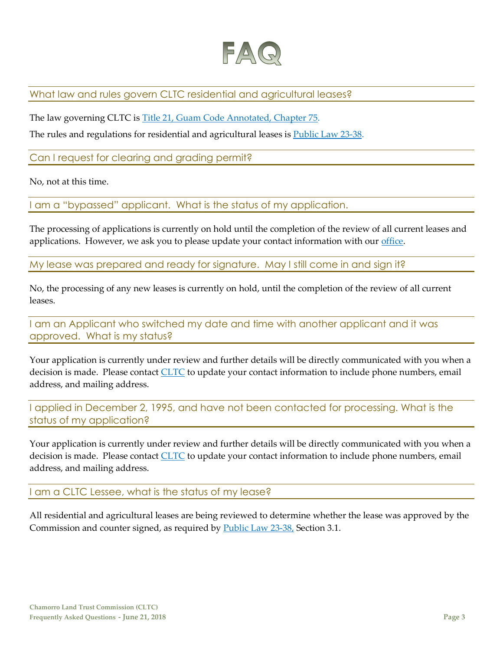

What law and rules govern CLTC residential and agricultural leases?

The law governing CLTC is [Title 21, Guam Code Annotated, Chapter 75.](http://www.guamcourts.org/compileroflaws/GCA/21gca/21gc075.PDF)

The rules and regulations for residential and agricultural leases is **Public Law 23-38**.

Can I request for clearing and grading permit?

No, not at this time.

I am a "bypassed" applicant. What is the status of my application.

The processing of applications is currently on hold until the completion of the review of all current leases and applications. However, we ask you to please update your contact information with our [office.](#page-0-0)

My lease was prepared and ready for signature. May I still come in and sign it?

No, the processing of any new leases is currently on hold, until the completion of the review of all current leases.

I am an Applicant who switched my date and time with another applicant and it was approved. What is my status?

Your application is currently under review and further details will be directly communicated with you when a decision is made. Please contact [CLTC](#page-0-0) to update your contact information to include phone numbers, email address, and mailing address.

I applied in December 2, 1995, and have not been contacted for processing. What is the status of my application?

Your application is currently under review and further details will be directly communicated with you when a decision is made. Please contact [CLTC](#page-0-0) to update your contact information to include phone numbers, email address, and mailing address.

I am a CLTC Lessee, what is the status of my lease?

All residential and agricultural leases are being reviewed to determine whether the lease was approved by the Commission and counter signed, as required by [Public Law 23-38,](http://guamlegislature.com/Public_Laws_23rd/P.L.%2023-38%20(SB%20317%20(LS))pdf.pdf) Section 3.1.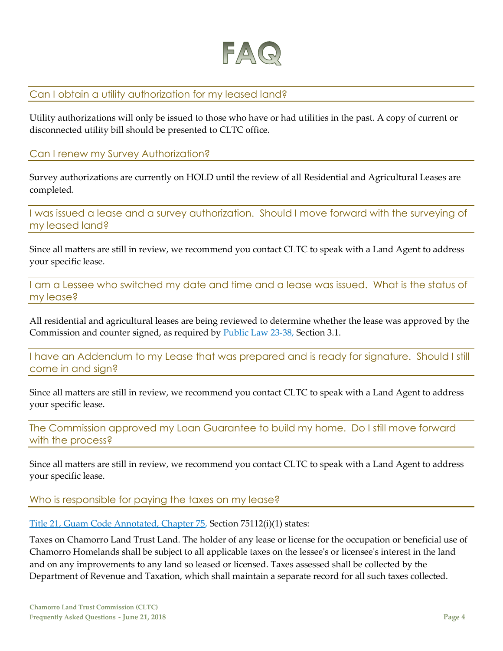

#### Can I obtain a utility authorization for my leased land?

Utility authorizations will only be issued to those who have or had utilities in the past. A copy of current or disconnected utility bill should be presented to CLTC office.

#### Can I renew my Survey Authorization?

Survey authorizations are currently on HOLD until the review of all Residential and Agricultural Leases are completed.

I was issued a lease and a survey authorization. Should I move forward with the surveying of my leased land?

Since all matters are still in review, we recommend you contact CLTC to speak with a Land Agent to address your specific lease.

I am a Lessee who switched my date and time and a lease was issued. What is the status of my lease?

All residential and agricultural leases are being reviewed to determine whether the lease was approved by the Commission and counter signed, as required by **Public Law 23-38**, Section 3.1.

I have an Addendum to my Lease that was prepared and is ready for signature. Should I still come in and sign?

Since all matters are still in review, we recommend you contact CLTC to speak with a Land Agent to address your specific lease.

The Commission approved my Loan Guarantee to build my home. Do I still move forward with the process?

Since all matters are still in review, we recommend you contact CLTC to speak with a Land Agent to address your specific lease.

Who is responsible for paying the taxes on my lease?

[Title 21, Guam Code Annotated, Chapter 75,](http://www.guamcourts.org/compileroflaws/GCA/21gca/21gc075.PDF) Section 75112(i)(1) states:

Taxes on Chamorro Land Trust Land. The holder of any lease or license for the occupation or beneficial use of Chamorro Homelands shall be subject to all applicable taxes on the lessee's or licensee's interest in the land and on any improvements to any land so leased or licensed. Taxes assessed shall be collected by the Department of Revenue and Taxation, which shall maintain a separate record for all such taxes collected.